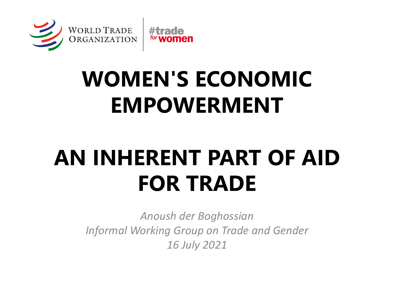

# **WOMEN'S ECONOMIC EMPOWERMENT**

# **AN INHERENT PART OF AID FOR TRADE**

*Anoush der Boghossian Informal Working Group on Trade and Gender 16 July 2021*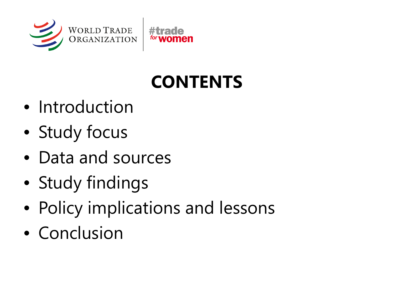

## **CONTENTS**

- Introduction
- Study focus
- Data and sources
- Study findings
- Policy implications and lessons
- Conclusion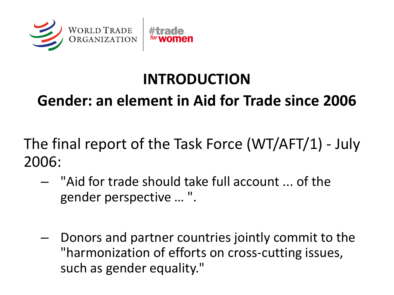

#### **INTRODUCTION**

#### **Gender: an element in Aid for Trade since 2006**

The final report of the Task Force (WT/AFT/1) - July 2006:

- "Aid for trade should take full account ... of the gender perspective … ".
- Donors and partner countries jointly commit to the "harmonization of efforts on cross-cutting issues, such as gender equality."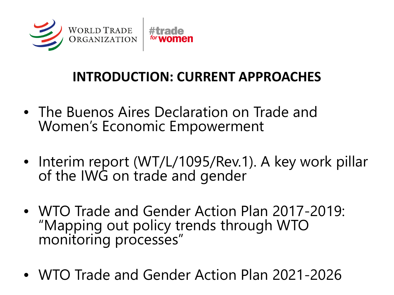

#### **INTRODUCTION: CURRENT APPROACHES**

- The Buenos Aires Declaration on Trade and Women's Economic Empowerment
- Interim report (WT/L/1095/Rev.1). A key work pillar of the IWG on trade and gender
- WTO Trade and Gender Action Plan 2017-2019: "Mapping out policy trends through WTO monitoring processes"
- WTO Trade and Gender Action Plan 2021-2026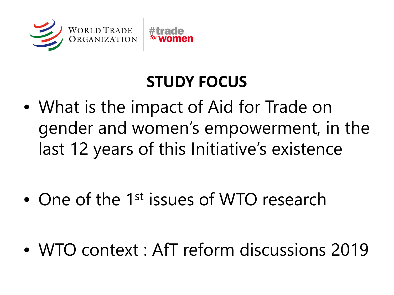

### **STUDY FOCUS**

- What is the impact of Aid for Trade on gender and women's empowerment, in the last 12 years of this Initiative's existence
- One of the 1<sup>st</sup> issues of WTO research
- WTO context : AfT reform discussions 2019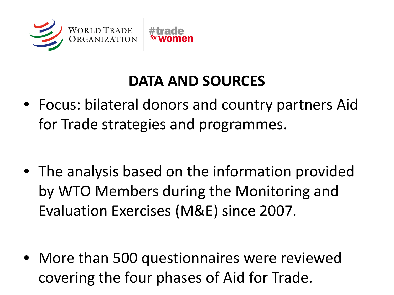

#### **DATA AND SOURCES**

- Focus: bilateral donors and country partners Aid for Trade strategies and programmes.
- The analysis based on the information provided by WTO Members during the Monitoring and Evaluation Exercises (M&E) since 2007.

• More than 500 questionnaires were reviewed covering the four phases of Aid for Trade.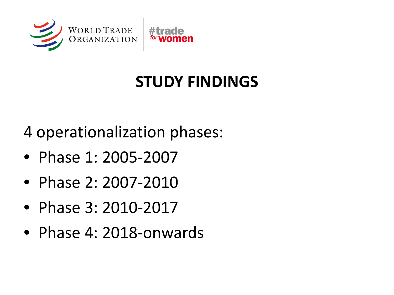

## **STUDY FINDINGS**

4 operationalization phases:

- Phase 1: 2005-2007
- Phase 2: 2007-2010
- Phase 3: 2010-2017
- Phase 4: 2018-onwards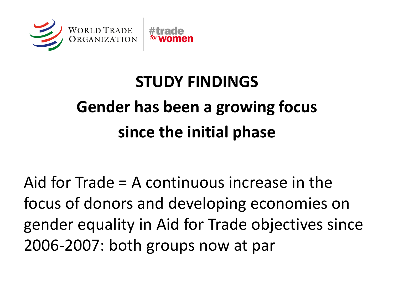

# **STUDY FINDINGS Gender has been a growing focus since the initial phase**

Aid for Trade = A continuous increase in the focus of donors and developing economies on gender equality in Aid for Trade objectives since 2006-2007: both groups now at par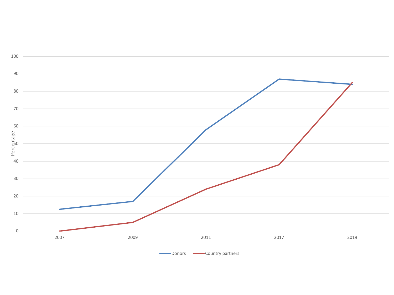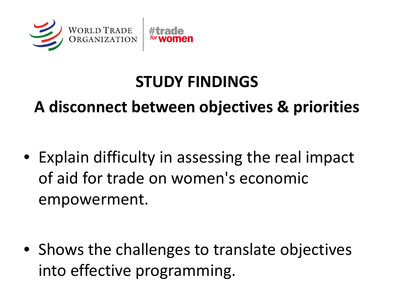

### **STUDY FINDINGS**

**A disconnect between objectives & priorities**

• Explain difficulty in assessing the real impact of aid for trade on women's economic empowerment.

• Shows the challenges to translate objectives into effective programming.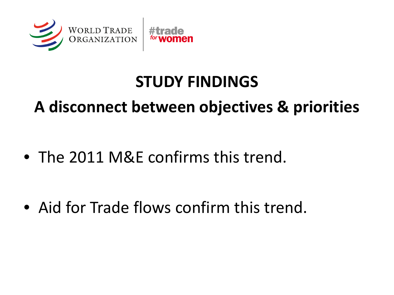

### **STUDY FINDINGS**

#### **A disconnect between objectives & priorities**

• The 2011 M&E confirms this trend.

• Aid for Trade flows confirm this trend.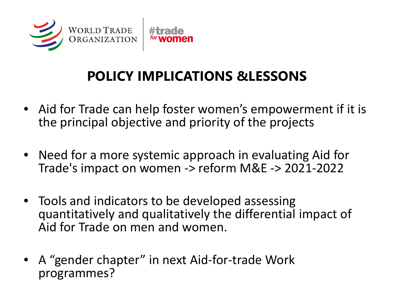

#### **POLICY IMPLICATIONS &LESSONS**

- Aid for Trade can help foster women's empowerment if it is the principal objective and priority of the projects
- Need for a more systemic approach in evaluating Aid for Trade's impact on women -> reform M&E -> 2021-2022
- Tools and indicators to be developed assessing quantitatively and qualitatively the differential impact of Aid for Trade on men and women.
- A "gender chapter" in next Aid-for-trade Work programmes?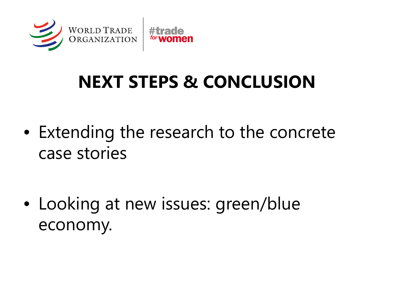

## **NEXT STEPS & CONCLUSION**

• Extending the research to the concrete case stories

• Looking at new issues: green/blue economy.